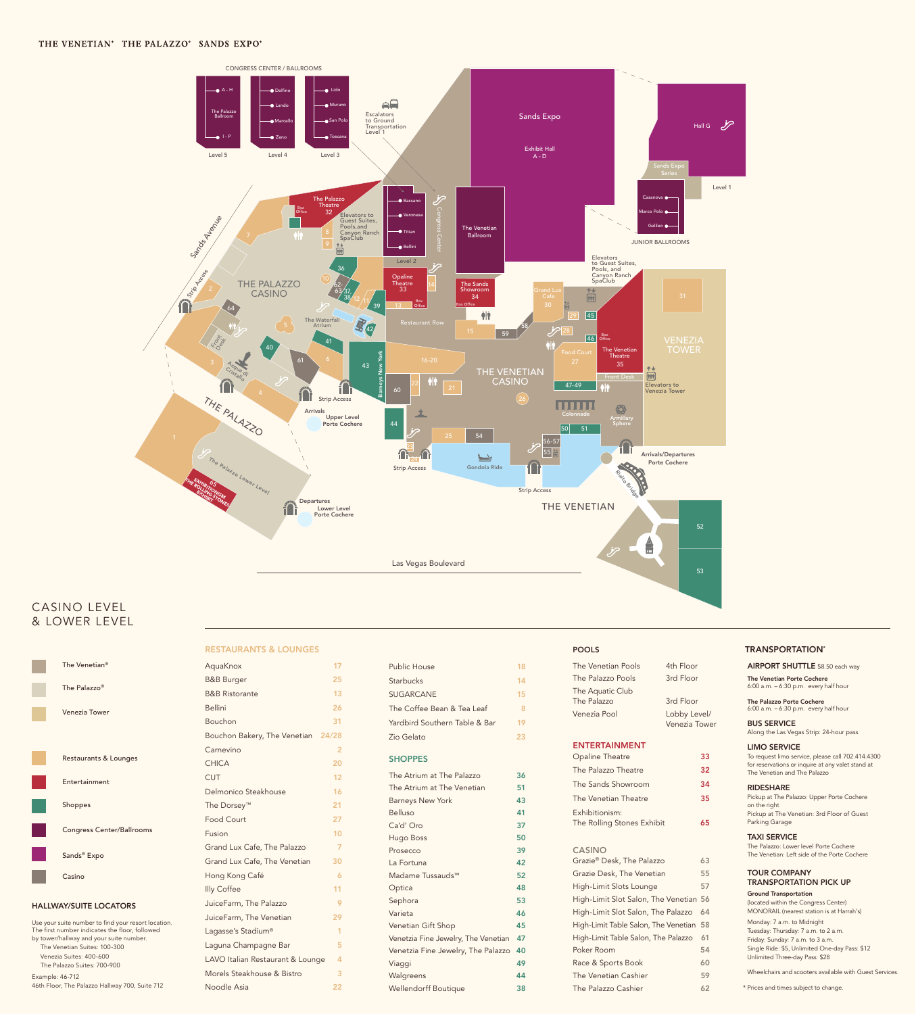

TRANSPORTATION\*

# CASINO LEVEL & LOWER LEVEL

#### Venezia Tower

Restaurants & Lounges

Entertainment

Shoppes

Congress Center/Ballrooms

| The Venetian <sup>®</sup> | AquaKnox                  |     |
|---------------------------|---------------------------|-----|
|                           | <b>B&amp;B</b> Burger     | 25  |
| The Palazzo <sup>®</sup>  | <b>B&amp;B Ristorante</b> | 13. |

Sands® Expo

Casino

|  |  | <b>RESTAURANTS &amp; LOUNGES</b> |  |  |
|--|--|----------------------------------|--|--|
|--|--|----------------------------------|--|--|

# AquaKnox 17

Sephora 53 Varieta 46 Venetian Gift Shop **45** Venetzia Fine Jewelry, The Venetian 47 Venetzia Fine Jewelry, The Palazzo 40 Viaggi 49 Walgreens **44** Wellendorff Boutique 38

| Venezia Pool                                 | Lobby Level/<br>Venezia Tower |    |
|----------------------------------------------|-------------------------------|----|
| <b>ENTERTAINMENT</b>                         |                               |    |
| <b>Opaline Theatre</b>                       |                               | 33 |
| The Palazzo Theatre                          |                               | 32 |
| The Sands Showroom                           |                               | 34 |
| The Venetian Theatre                         |                               | 35 |
| Exhibitionism:<br>The Rolling Stones Exhibit |                               | 65 |
| <b>CASINO</b>                                |                               |    |
| Grazie® Desk, The Palazzo                    |                               | 63 |
| Grazie Desk, The Venetian                    |                               | 55 |
| High-Limit Slots Lounge                      |                               | 57 |
| High-Limit Slot Salon, The Venetian          |                               | 56 |
| High-Limit Slot Salon, The Palazzo           |                               | 64 |
| High-Limit Table Salon, The Venetian         |                               | 58 |
| High-Limit Table Salon, The Palazzo          |                               | 61 |
| Poker Room                                   |                               | 54 |
| Race & Sports Book                           |                               | 60 |
| The Venetian Cashier                         |                               | 59 |
| The Palazzo Cashier                          |                               | 62 |

| <b>Bellini</b>                     | 26 |
|------------------------------------|----|
| Bouchon                            | 31 |
| Bouchon Bakery, The Venetian 24/28 |    |
| Carnevino                          | 2  |
| <b>CHICA</b>                       | 20 |
| <b>CUT</b>                         | 12 |
| Delmonico Steakhouse               | 16 |
| The Dorsey <sup>™</sup>            | 21 |
| <b>Food Court</b>                  | 27 |
| Fusion                             | 10 |
| Grand Lux Cafe, The Palazzo        | 7  |
| Grand Lux Cafe, The Venetian       | 30 |
| Hong Kong Café                     | 6  |
| Illy Coffee                        | 11 |
| JuiceFarm, The Palazzo             | 9  |
| JuiceFarm, The Venetian            | 29 |
| Lagasse's Stadium®                 | 1  |
| Laguna Champagne Bar               | 5  |
| LAVO Italian Restaurant & Lounge   | 4  |
| Morels Steakhouse & Bistro         | 3  |
| Noodle Asia                        | 22 |

The Venetian Porte Cochere 6:00 a.m. – 6:30 p.m. every half hour

The Palazzo Porte Cochere

6:00 a.m. – 6:30 p.m. every half hour

AIRPORT SHUTTLE \$8.50 each way

BUS SERVICE Along the Las Vegas Strip: 24-hour pass

#### LIMO SERVICE

To request limo service, please call 702.414.4300 for reservations or inquire at any valet stand at The Venetian and The Palazzo

#### RIDESHARE

Pickup at The Palazzo: Upper Porte Cochere on the right Pickup at The Venetian: 3rd Floor of Guest Parking Garage

### TAXI SERVICE

The Palazzo: Lower level Porte Cochere The Venetian: Left side of the Porte Cochere

#### TOUR COMPANY TRANSPORTATION PICK UP

Ground Transportation

(located within the Congress Center) MONORAIL (nearest station is at Harrah's) Monday: 7 a.m. to Midnight Tuesday: Thursday: 7 a.m. to 2 a.m. Friday: Sunday: 7 a.m. to 3 a.m. Single Ride: \$5, Unlimited One-day Pass: \$12 Unlimited Three-day Pass: \$28 Wheelchairs and scooters available with Guest Services. \* Prices and times subject to change.

| Public House                  | 18 |
|-------------------------------|----|
| <b>Starbucks</b>              | 14 |
| <b>SUGARCANE</b>              | 15 |
| The Coffee Bean & Tea Leaf    | 8  |
| Yardbird Southern Table & Bar | 19 |
| Zio Gelato                    | 23 |
| <b>SHOPPES</b>                |    |
| The Atrium at The Palazzo     | 36 |
| The Atrium at The Venetian    | 51 |
| <b>Barneys New York</b>       | 43 |
| Belluso                       | 41 |
| Ca'd' Oro                     | 37 |
| Hugo Boss                     | 50 |
| Prosecco                      | 39 |
| La Fortuna                    | 42 |
| Madame Tussauds™              | 52 |
| Optica                        | 48 |

#### HALLWAY/SUITE LOCATORS

Use your suite number to find your resort location. The first number indicates the floor, followed by tower/hallway and your suite number. The Venetian Suites: 100-300 Venezia Suites: 400-600 The Palazzo Suites: 700-900 Example: 46-712

46th Floor, The Palazzo Hallway 700, Suite 712

# POOLS

| The Venetian Pools | 4th Floor |
|--------------------|-----------|
| The Palazzo Pools  | 3rd Floor |
| The Aquatic Club   |           |
| The Palazzo        | 3rd Floor |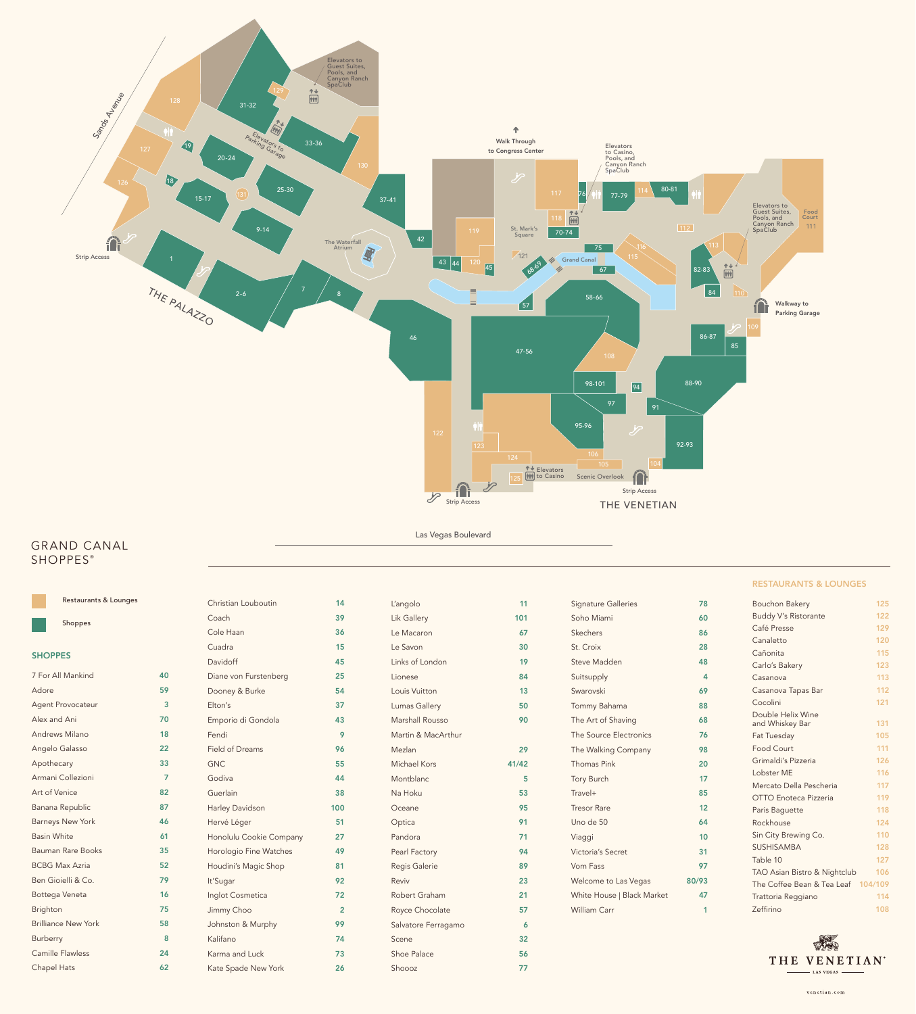Las Vegas Boulevard



## RESTAURANTS & LOUNGES

| Cocolini                           | 121 |
|------------------------------------|-----|
| Double Helix Wine                  |     |
| and Whiskey Bar                    | 131 |
| Fat Tuesday                        | 105 |
| Food Court                         | 111 |
| Grimaldi's Pizzeria                | 126 |
| Lobster MF                         | 116 |
| Mercato Della Pescheria            | 117 |
| OTTO Enoteca Pizzeria              | 119 |
| Paris Baguette                     | 118 |
| Rockhouse                          | 124 |
| Sin City Brewing Co.               | 110 |
| <b>SUSHISAMBA</b>                  | 128 |
| Table 10                           | 127 |
| TAO Asian Bistro & Nightclub       | 106 |
| The Coffee Bean & Tea Leaf 104/109 |     |
| Trattoria Reggiano                 | 114 |
| Zeffirino                          | 108 |



# GRAND CANAL **SHOPPES®**

| <b>Agent Provocateur</b>   | 3  |
|----------------------------|----|
| Alex and Ani               | 70 |
| <b>Andrews Milano</b>      | 18 |
| Angelo Galasso             | 22 |
| Apothecary                 | 33 |
| Armani Collezioni          | 7  |
| Art of Venice              | 82 |
| Banana Republic            | 87 |
| <b>Barneys New York</b>    | 46 |
| <b>Basin White</b>         | 61 |
| Bauman Rare Books          | 35 |
| <b>BCBG Max Azria</b>      | 52 |
| Ben Gioielli & Co.         | 79 |
| Bottega Veneta             | 16 |
| <b>Brighton</b>            | 75 |
| <b>Brilliance New York</b> | 58 |
| <b>Burberry</b>            | 8  |
| <b>Camille Flawless</b>    | 24 |
| <b>Chapel Hats</b>         | 62 |

|                | Restaurants & Lounges |    | Christian Louboutin   | 14 | L'angolo        |     | <b>Signature Galleries</b> | 78 | <b>Bouchon Bakery</b>       | 125 |
|----------------|-----------------------|----|-----------------------|----|-----------------|-----|----------------------------|----|-----------------------------|-----|
|                | Shoppes               |    | Coach                 | 39 | Lik Gallery     | 101 | Soho Miami                 | 60 | <b>Buddy V's Ristorante</b> | 122 |
|                |                       |    | Cole Haan             | 36 | Le Macaron      | 67  | Skechers                   | 86 | Café Presse                 | 129 |
| <b>SHOPPES</b> |                       |    | Cuadra                | 15 | Le Savon        | 30  | St. Croix                  | 28 | Canaletto                   | 120 |
|                |                       |    | Davidoff              | 45 | Links of London | 19  | Steve Madden               | 48 | Cañonita                    | 115 |
|                |                       |    |                       |    |                 |     |                            |    | Carlo's Bakery              | 123 |
|                | 7 For All Mankind     | 40 | Diane von Furstenberg | 25 | Lionese         | 84  | Suitsupply                 |    | Casanova                    | 113 |
| Adore          |                       | 59 | Dooney & Burke        | 54 | Louis Vuitton   | 13  | Swarovski                  | 69 | Casanova Tapas Bar          | 112 |
|                |                       |    |                       |    |                 |     |                            |    |                             |     |

| 37             |
|----------------|
| 43             |
| 9              |
| 96             |
| 55             |
| 44             |
| 38             |
| 100            |
| 51             |
| 27             |
| 49             |
| 81             |
| 92             |
| 72             |
| $\overline{2}$ |
| 99             |
| 74             |
| 73             |
| 26             |
|                |

| Lumas Gallery       | 50    |
|---------------------|-------|
| Marshall Rousso     | 90    |
| Martin & MacArthur  |       |
| Mezlan              | 29    |
| Michael Kors        | 41/42 |
| Montblanc           | 5     |
| Na Hoku             | 53    |
| Oceane              | 95    |
| Optica              | 91    |
| Pandora             | 71    |
| Pearl Factory       | 94    |
| Regis Galerie       | 89    |
| Reviv               | 23    |
| Robert Graham       | 21    |
| Royce Chocolate     | 57    |
| Salvatore Ferragamo | 6     |
| Scene               | 32    |
| <b>Shoe Palace</b>  | 56    |
| Shoooz              | 77    |

| Tommy Bahama               | 88    |
|----------------------------|-------|
| The Art of Shaving         | 68    |
| The Source Electronics     | 76    |
| The Walking Company        | 98    |
| <b>Thomas Pink</b>         | 20    |
| Tory Burch                 | 17    |
| $Travel+$                  | 85    |
| <b>Tresor Rare</b>         | 12    |
| Uno de 50                  | 64    |
| Viaggi                     | 10    |
| Victoria's Secret          | 31    |
| Vom Fass                   | 97    |
| Welcome to Las Vegas       | 80/93 |
| White House   Black Market | 47    |
| William Carr               | 1     |
|                            |       |
|                            |       |

 $41/42$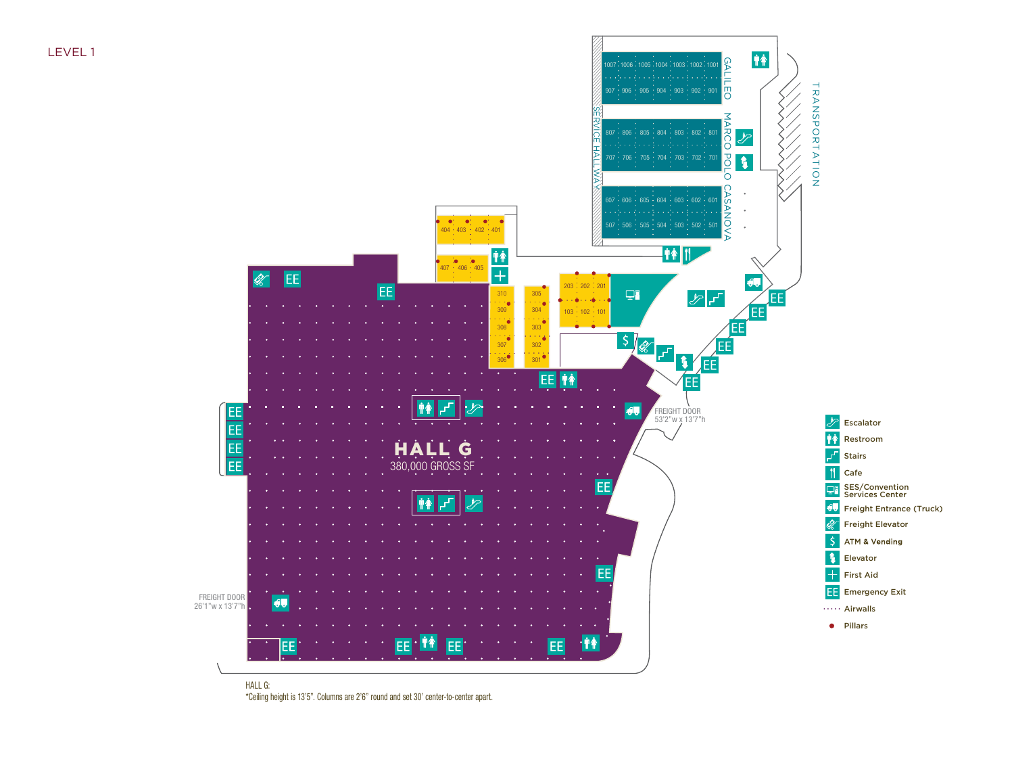LEVEL 1



\*Ceiling height is 13'5". Columns are 2'6" round and set 30' center-to-center apart.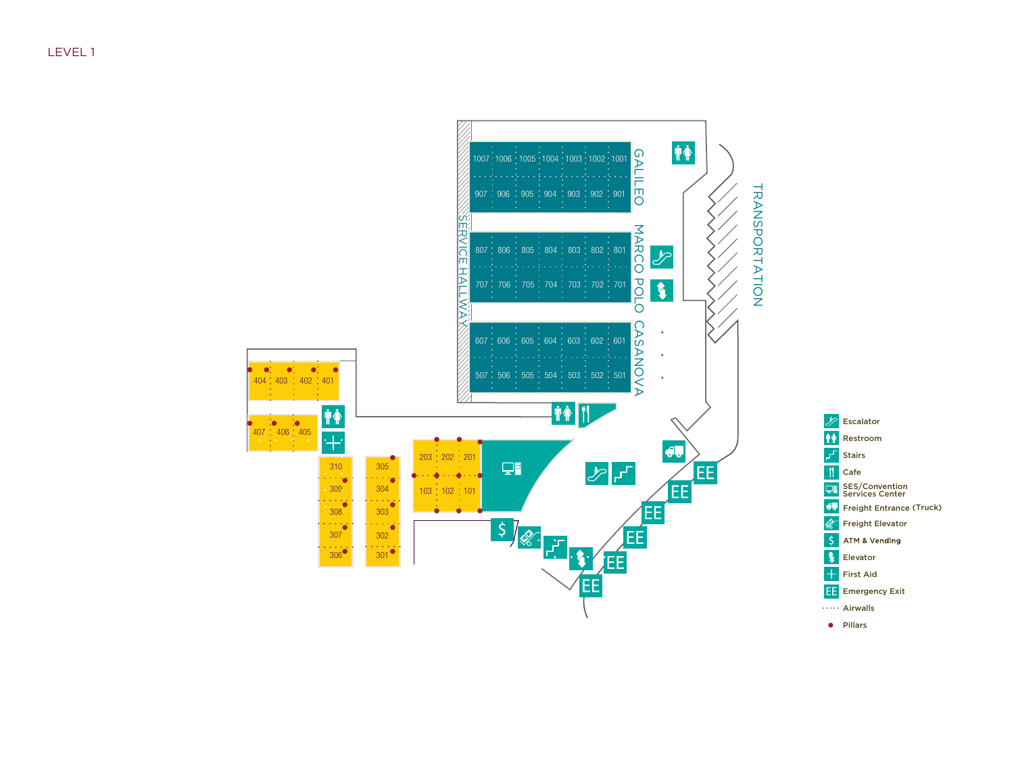

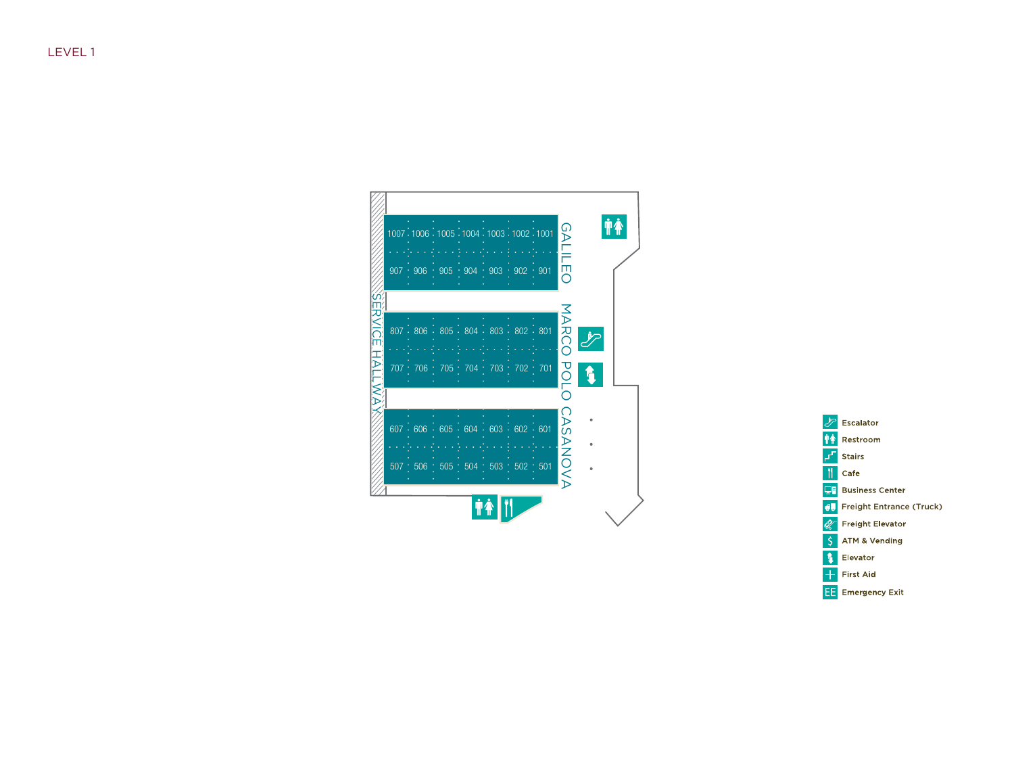

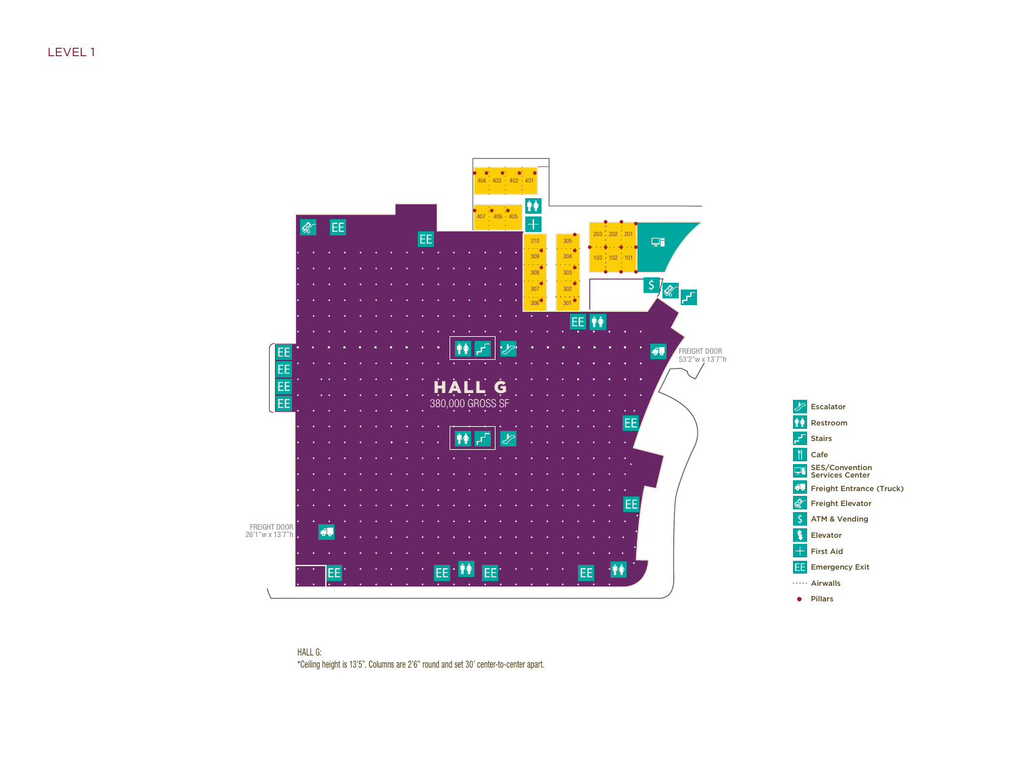

HALL G: \*Ceiling height is 13'5". Columns are 2'6" round and set 30' center-to-center apart.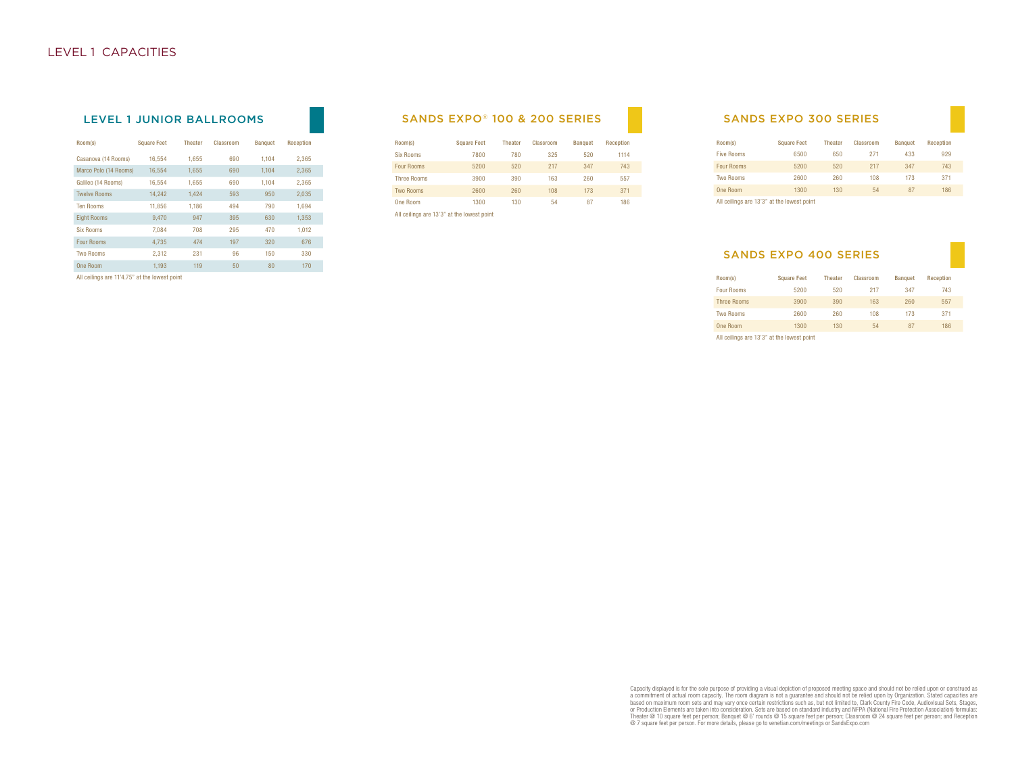| Room(s)               | <b>Square Feet</b> | <b>Theater</b> | Classroom | <b>Banquet</b> | <b>Reception</b> |
|-----------------------|--------------------|----------------|-----------|----------------|------------------|
| Casanova (14 Rooms)   | 16.554             | 1.655          | 690       | 1.104          | 2,365            |
| Marco Polo (14 Rooms) | 16,554             | 1,655          | 690       | 1.104          | 2,365            |
| Galileo (14 Rooms)    | 16,554             | 1,655          | 690       | 1.104          | 2,365            |
| <b>Twelve Rooms</b>   | 14,242             | 1,424          | 593       | 950            | 2.035            |
| <b>Ten Rooms</b>      | 11.856             | 1.186          | 494       | 790            | 1.694            |
| <b>Eight Rooms</b>    | 9.470              | 947            | 395       | 630            | 1.353            |
| <b>Six Rooms</b>      | 7.084              | 708            | 295       | 470            | 1.012            |
| <b>Four Rooms</b>     | 4.735              | 474            | 197       | 320            | 676              |
| <b>Two Rooms</b>      | 2.312              | 231            | 96        | 150            | 330              |
| One Room              | 1.193              | 119            | 50        | 80             | 170              |
|                       |                    |                |           |                |                  |

#### All ceilings are 11'4.75" at the lowest point

## LEVEL 1 JUNIOR BALLROOMS SANDS EXPO® 100 & 200 SERIES

| Room(s)            | <b>Square Feet</b>                         | <b>Theater</b> | Classroom | <b>Banquet</b> | Reception |
|--------------------|--------------------------------------------|----------------|-----------|----------------|-----------|
| <b>Six Rooms</b>   | 7800                                       | 780            | 325       | 520            | 1114      |
| <b>Four Rooms</b>  | 5200                                       | 520            | 217       | 347            | 743       |
| <b>Three Rooms</b> | 3900                                       | 390            | 163       | 260            | 557       |
| <b>Two Rooms</b>   | 2600                                       | 260            | 108       | 173            | 371       |
| One Room           | 1300                                       | 130            | 54        | 87             | 186       |
|                    | All ceilings are 13'3" at the lowest point |                |           |                |           |

### SANDS EXPO 300 SERIES

| Room(s)           | <b>Square Feet</b> | <b>Theater</b> | Classroom | <b>Banquet</b> | Reception |
|-------------------|--------------------|----------------|-----------|----------------|-----------|
| <b>Five Rooms</b> | 6500               | 650            | 271       | 433            | 929       |
| <b>Four Rooms</b> | 5200               | 520            | 217       | 347            | 743       |
| <b>Two Rooms</b>  | 2600               | 260            | 108       | 173            | 371       |
| One Room          | 1300               | 130            | 54        | 87             | 186       |
| $-11$             | $\cdots$           |                |           |                |           |

All ceilings are 13'3" at the lowest point

#### SANDS EXPO 400 SERIES

| Room(s)                                    | <b>Square Feet</b> | <b>Theater</b> | Classroom | <b>Banquet</b> | Reception |
|--------------------------------------------|--------------------|----------------|-----------|----------------|-----------|
| <b>Four Rooms</b>                          | 5200               | 520            | 217       | 347            | 743       |
| <b>Three Rooms</b>                         | 3900               | 390            | 163       | 260            | 557       |
| <b>Two Rooms</b>                           | 2600               | 260            | 108       | 173            | 371       |
| One Room                                   | 1300               | 130            | 54        | 87             | 186       |
| All ceilings are 13'3" at the lowest point |                    |                |           |                |           |

Capacity displayed is for the sole purpose of providing a visual depiction of proposed meeting space and should not be relied upon or construed as<br>a commitment of actual room capacity. The room diagram is not a guarantee a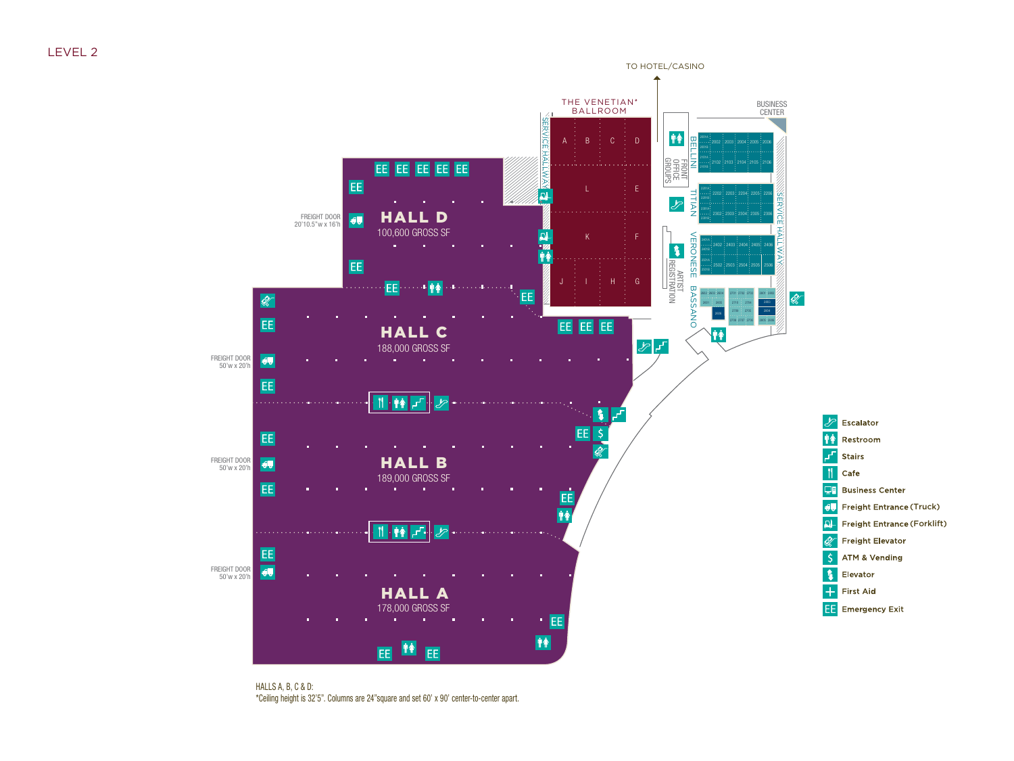

HALLS A, B, C & D: \*Ceiling height is 32'5". Columns are 24"square and set 60' x 90' center-to-center apart.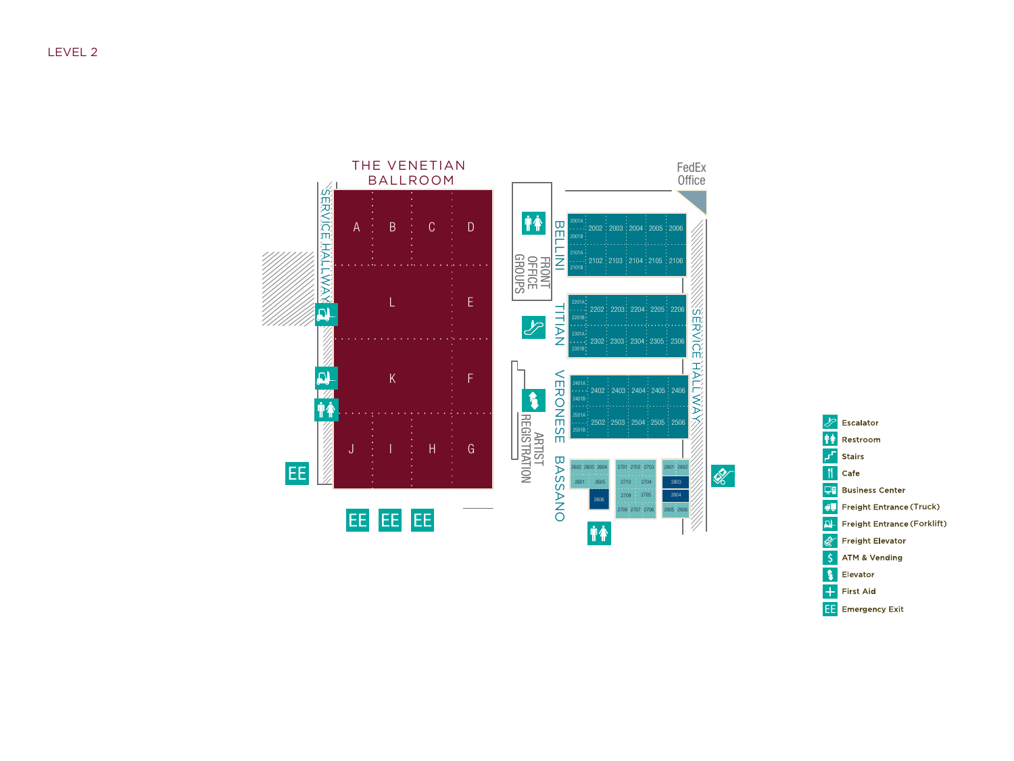

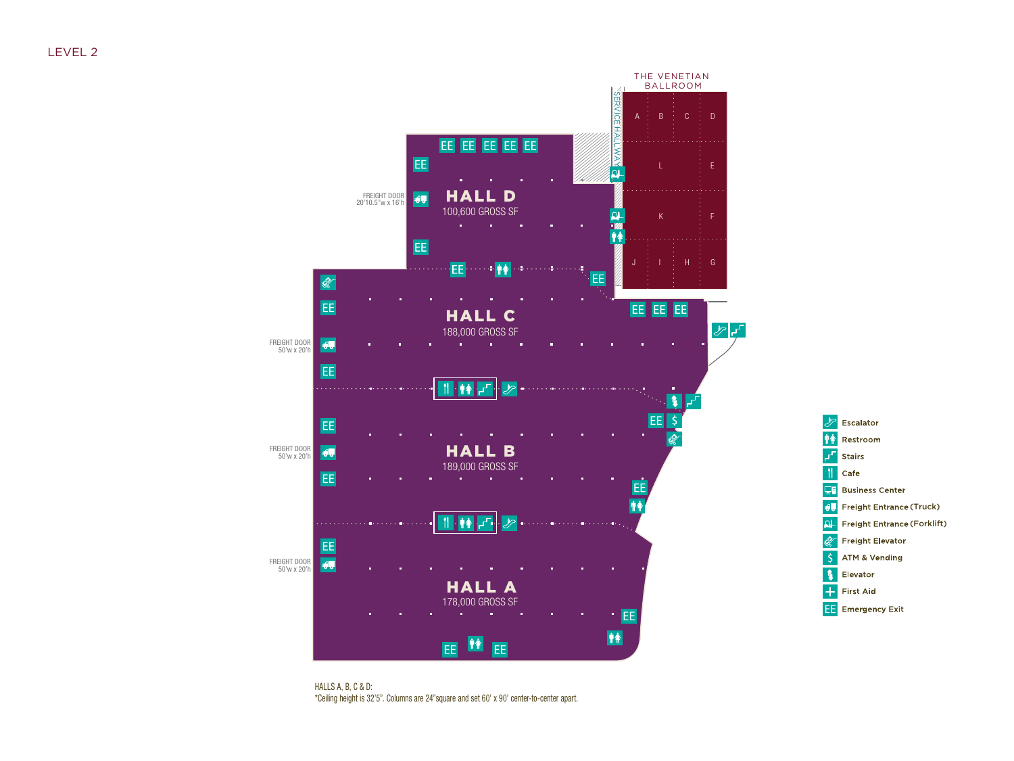



HALLS A, B, C & D: \*Ceiling height is 32'5". Columns are 24"square and set 60' x 90' center-to-center apart.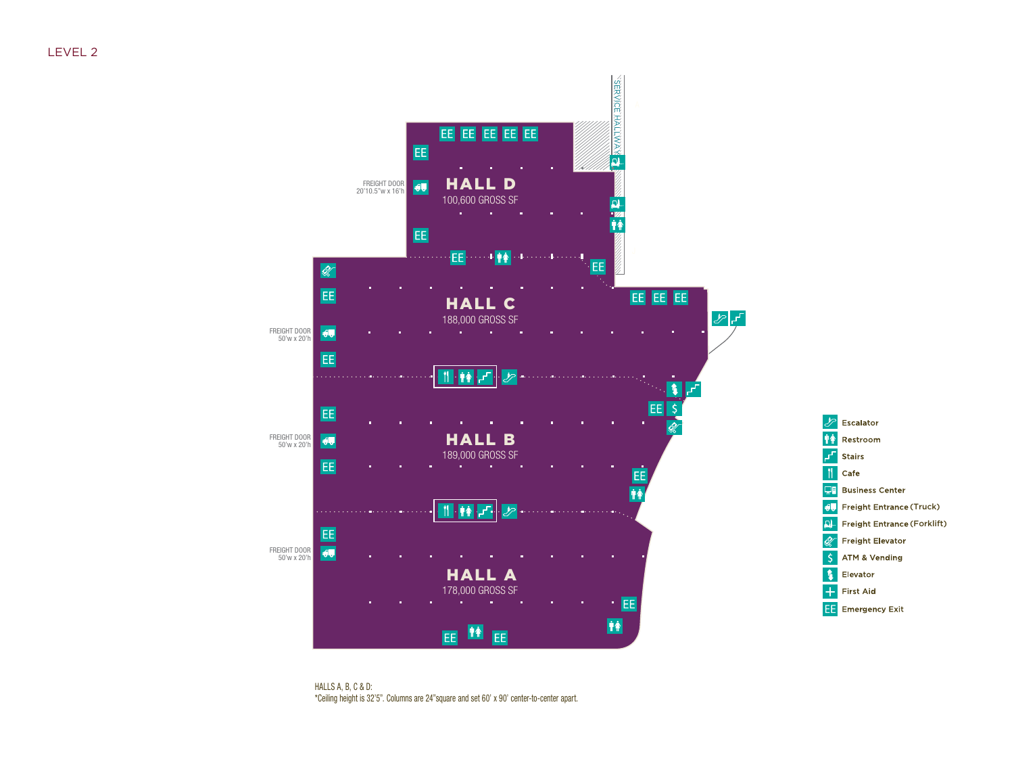

HALLS A, B, C & D: \*Ceiling height is 32'5". Columns are 24"square and set 60' x 90' center-to-center apart.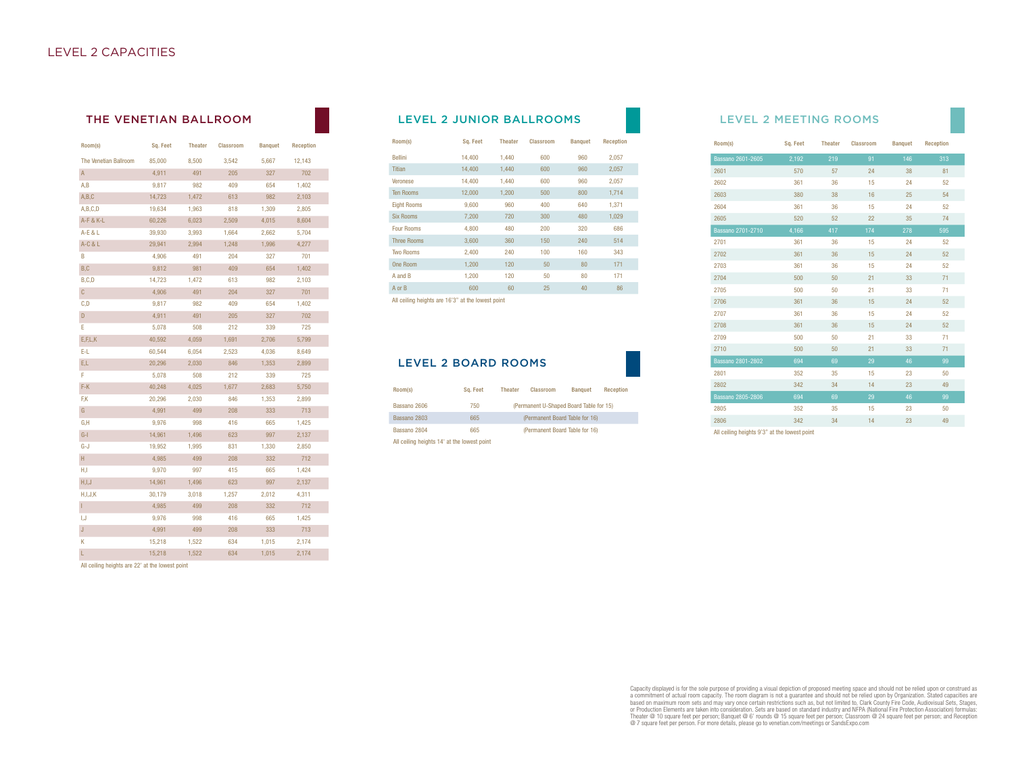| Room(s)               | Sq. Feet | <b>Theater</b> | <b>Classroom</b> | <b>Banquet</b> | <b>Reception</b> |
|-----------------------|----------|----------------|------------------|----------------|------------------|
| The Venetian Ballroom | 85,000   | 8,500          | 3,542            | 5,667          | 12,143           |
| A                     | 4,911    | 491            | 205              | 327            | 702              |
| A, B                  | 9,817    | 982            | 409              | 654            | 1,402            |
| A,B,C                 | 14,723   | 1,472          | 613              | 982            | 2,103            |
| A,B,C,D               | 19,634   | 1,963          | 818              | 1,309          | 2,805            |
| A-F & K-L             | 60,226   | 6,023          | 2,509            | 4,015          | 8,604            |
| A-E & L               | 39,930   | 3,993          | 1,664            | 2,662          | 5,704            |
| $A-C & L$             | 29,941   | 2,994          | 1,248            | 1,996          | 4,277            |
| B                     | 4,906    | 491            | 204              | 327            | 701              |
| B, C                  | 9,812    | 981            | 409              | 654            | 1,402            |
| B, C, D               | 14,723   | 1,472          | 613              | 982            | 2,103            |
| $\mathsf C$           | 4,906    | 491            | 204              | 327            | 701              |
| C, D                  | 9,817    | 982            | 409              | 654            | 1,402            |
| D                     | 4,911    | 491            | 205              | 327            | 702              |
| E                     | 5,078    | 508            | 212              | 339            | 725              |
| E, F, L, K            | 40,592   | 4,059          | 1,691            | 2,706          | 5,799            |
| E-L                   | 60,544   | 6,054          | 2,523            | 4,036          | 8,649            |
| E,L                   | 20,296   | 2,030          | 846              | 1,353          | 2,899            |
| F                     | 5,078    | 508            | 212              | 339            | 725              |
| F-K                   | 40,248   | 4,025          | 1,677            | 2,683          | 5,750            |
| F,K                   | 20,296   | 2,030          | 846              | 1,353          | 2,899            |
| G                     | 4,991    | 499            | 208              | 333            | 713              |
| G,H                   | 9,976    | 998            | 416              | 665            | 1,425            |
| $G-I$                 | 14,961   | 1,496          | 623              | 997            | 2,137            |
| G-J                   | 19,952   | 1,995          | 831              | 1,330          | 2,850            |
| H.                    | 4,985    | 499            | 208              | 332            | 712              |
| H,I                   | 9,970    | 997            | 415              | 665            | 1,424            |
| H, I, J               | 14,961   | 1,496          | 623              | 997            | 2,137            |
| H, I, J, K            | 30,179   | 3,018          | 1,257            | 2,012          | 4,311            |
| Ľ                     | 4,985    | 499            | 208              | 332            | 712              |
| I,J                   | 9,976    | 998            | 416              | 665            | 1,425            |
| $\mathsf J$           | 4,991    | 499            | 208              | 333            | 713              |
| Κ                     | 15,218   | 1,522          | 634              | 1,015          | 2,174            |
| L                     | 15,218   | 1,522          | 634              | 1,015          | 2,174            |

#### All ceiling heights are 22' at the lowest point

## THE VENETIAN BALLROOM **LEVEL 2 JUNIOR BALLROOMS** LEVEL 2 MEETING ROOMS

| Room(s)                                              | Sq. Feet | <b>Theater</b> | <b>Classroom</b> | <b>Banquet</b> | <b>Reception</b> |
|------------------------------------------------------|----------|----------------|------------------|----------------|------------------|
| <b>Bellini</b>                                       | 14.400   | 1.440          | 600              | 960            | 2.057            |
| <b>Titian</b>                                        | 14,400   | 1,440          | 600              | 960            | 2,057            |
| Veronese                                             | 14,400   | 1,440          | 600              | 960            | 2,057            |
| <b>Ten Rooms</b>                                     | 12,000   | 1,200          | 500              | 800            | 1,714            |
| <b>Eight Rooms</b>                                   | 9,600    | 960            | 400              | 640            | 1,371            |
| <b>Six Rooms</b>                                     | 7,200    | 720            | 300              | 480            | 1,029            |
| <b>Four Rooms</b>                                    | 4.800    | 480            | 200              | 320            | 686              |
| <b>Three Rooms</b>                                   | 3.600    | 360            | 150              | 240            | 514              |
| <b>Two Rooms</b>                                     | 2,400    | 240            | 100              | 160            | 343              |
| One Room                                             | 1.200    | 120            | 50               | 80             | 171              |
| A and B                                              | 1,200    | 120            | 50               | 80             | 171              |
| A or B                                               | 600      | 60             | 25               | 40             | 86               |
| All estimate labeledo por 4.010% ed des formadorated |          |                |                  |                |                  |

All ceiling heights are 16'3" at the lowest point

### LEVEL 2 BOARD ROOMS

| Room(s)                                     | Sa. Feet | <b>Theater</b>                 | Classroom                               | <b>Banquet</b> | Reception |  |  |  |
|---------------------------------------------|----------|--------------------------------|-----------------------------------------|----------------|-----------|--|--|--|
| Bassano 2606                                | 750      |                                | (Permanent U-Shaped Board Table for 15) |                |           |  |  |  |
| Bassano 2803                                | 665      |                                | (Permanent Board Table for 16)          |                |           |  |  |  |
| Bassano 2804                                | 665      | (Permanent Board Table for 16) |                                         |                |           |  |  |  |
| All ceiling heights 14' at the lowest point |          |                                |                                         |                |           |  |  |  |

| Room(s)                  | Sq. Feet | Theater | Classroom | <b>Banquet</b> | Reception |
|--------------------------|----------|---------|-----------|----------------|-----------|
| <b>Bassano 2601-2605</b> | 2,192    | 219     | 91        | 146            | 313       |
| 2601                     | 570      | 57      | 24        | 38             | 81        |
| 2602                     | 361      | 36      | 15        | 24             | 52        |
| 2603                     | 380      | 38      | 16        | 25             | 54        |
| 2604                     | 361      | 36      | 15        | 24             | 52        |
| 2605                     | 520      | 52      | 22        | 35             | 74        |
| Bassano 2701-2710        | 4,166    | 417     | 174       | 278            | 595       |
| 2701                     | 361      | 36      | 15        | 24             | 52        |
| 2702                     | 361      | 36      | 15        | 24             | 52        |
| 2703                     | 361      | 36      | 15        | 24             | 52        |
| 2704                     | 500      | 50      | 21        | 33             | 71        |
| 2705                     | 500      | 50      | 21        | 33             | 71        |
| 2706                     | 361      | 36      | 15        | 24             | 52        |
| 2707                     | 361      | 36      | 15        | 24             | 52        |
| 2708                     | 361      | 36      | 15        | 24             | 52        |
| 2709                     | 500      | 50      | 21        | 33             | 71        |
| 2710                     | 500      | 50      | 21        | 33             | 71        |
| Bassano 2801-2802        | 694      | 69      | 29        | 46             | 99        |
| 2801                     | 352      | 35      | 15        | 23             | 50        |
| 2802                     | 342      | 34      | 14        | 23             | 49        |
| Bassano 2805-2806        | 694      | 69      | 29        | 46             | 99        |
| 2805                     | 352      | 35      | 15        | 23             | 50        |
| 2806                     | 342      | 34      | 14        | 23             | 49        |
|                          |          |         |           |                |           |

All ceiling heights 9'3" at the lowest point

Capacity displayed is for the sole purpose of providing a visual depiction of proposed meeting space and should not be relied upon or construed as<br>a committment of actual room capacity. The room diagram is not a guarantee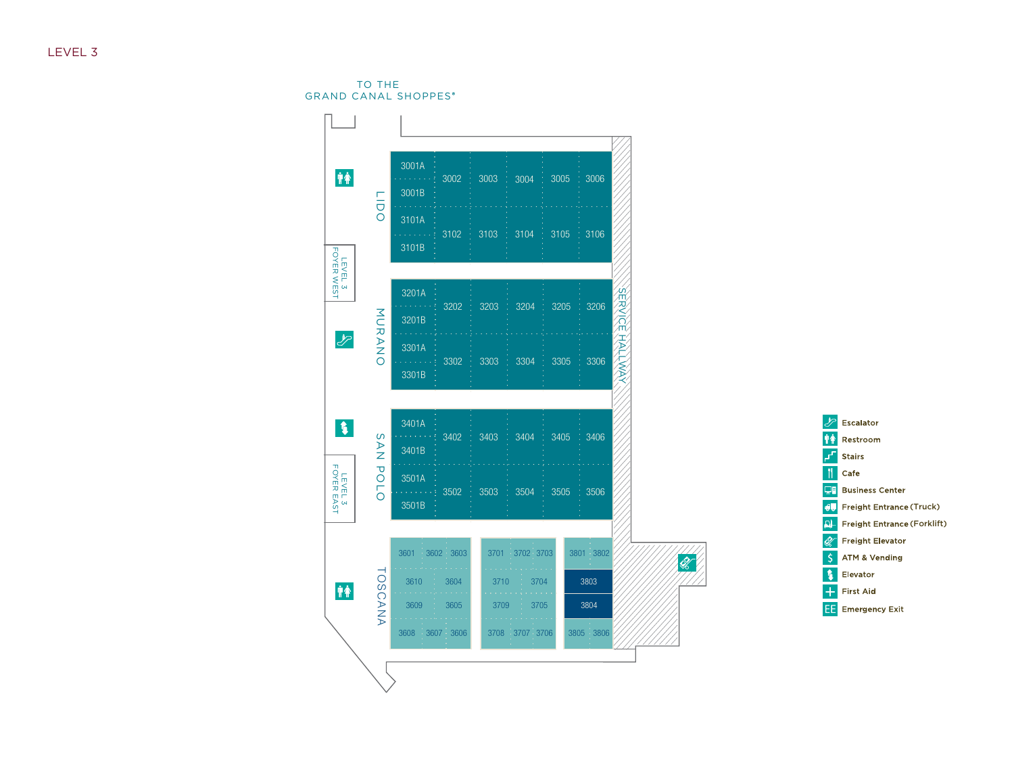## LEVEL 3

TO THE GRAND CANAL SHOPPES



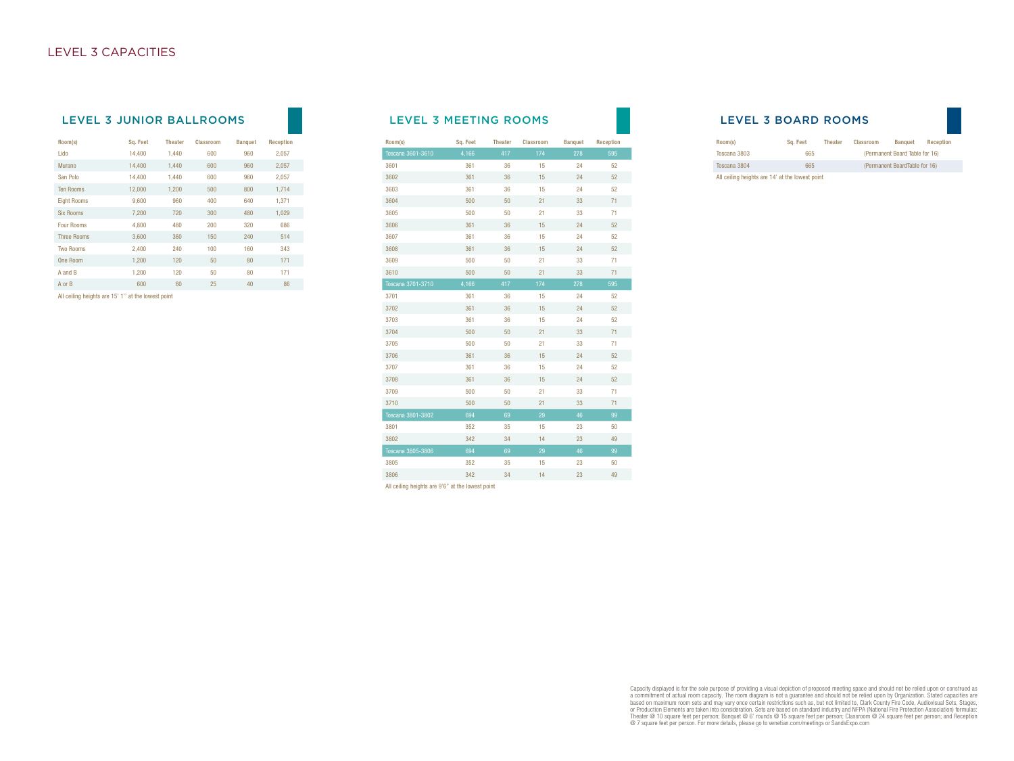### LEVEL 3 JUNIOR BALLROOMS LEVEL 3 MEETING ROOMS

| Room(s)            | Sq. Feet | <b>Theater</b> | Classroom | <b>Banquet</b> | Reception |
|--------------------|----------|----------------|-----------|----------------|-----------|
| Lido               | 14.400   | 1.440          | 600       | 960            | 2.057     |
| Murano             | 14.400   | 1.440          | 600       | 960            | 2,057     |
| San Polo           | 14.400   | 1,440          | 600       | 960            | 2,057     |
| <b>Ten Rooms</b>   | 12,000   | 1,200          | 500       | 800            | 1,714     |
| <b>Eight Rooms</b> | 9,600    | 960            | 400       | 640            | 1.371     |
| <b>Six Rooms</b>   | 7,200    | 720            | 300       | 480            | 1,029     |
| <b>Four Rooms</b>  | 4,800    | 480            | 200       | 320            | 686       |
| <b>Three Rooms</b> | 3,600    | 360            | 150       | 240            | 514       |
| <b>Two Rooms</b>   | 2,400    | 240            | 100       | 160            | 343       |
| One Room           | 1.200    | 120            | 50        | 80             | 171       |
| A and B            | 1.200    | 120            | 50        | 80             | 171       |
| A or B             | 600      | 60             | 25        | 40             | 86        |

All ceiling heights are 15' 1'' at the lowest point

| Room(s)                  | Sq. Feet | <b>Theater</b> | Classroom | <b>Banquet</b> | Reception |
|--------------------------|----------|----------------|-----------|----------------|-----------|
| Toscana 3601-3610        | 4,166    | 417            | 174       | 278            | 595       |
| 3601                     | 361      | 36             | 15        | 24             | 52        |
| 3602                     | 361      | 36             | 15        | 24             | 52        |
| 3603                     | 361      | 36             | 15        | 24             | 52        |
| 3604                     | 500      | 50             | 21        | 33             | 71        |
| 3605                     | 500      | 50             | 21        | 33             | 71        |
| 3606                     | 361      | 36             | 15        | 24             | 52        |
| 3607                     | 361      | 36             | 15        | 24             | 52        |
| 3608                     | 361      | 36             | 15        | 24             | 52        |
| 3609                     | 500      | 50             | 21        | 33             | 71        |
| 3610                     | 500      | 50             | 21        | 33             | 71        |
| Toscana 3701-3710        | 4,166    | 417            | 174       | 278            | 595       |
| 3701                     | 361      | 36             | 15        | 24             | 52        |
| 3702                     | 361      | 36             | 15        | 24             | 52        |
| 3703                     | 361      | 36             | 15        | 24             | 52        |
| 3704                     | 500      | 50             | 21        | 33             | 71        |
| 3705                     | 500      | 50             | 21        | 33             | 71        |
| 3706                     | 361      | 36             | 15        | 24             | 52        |
| 3707                     | 361      | 36             | 15        | 24             | 52        |
| 3708                     | 361      | 36             | 15        | 24             | 52        |
| 3709                     | 500      | 50             | 21        | 33             | 71        |
| 3710                     | 500      | 50             | 21        | 33             | 71        |
| <b>Toscana 3801-3802</b> | 694      | 69             | 29        | 46             | 99        |
| 3801                     | 352      | 35             | 15        | 23             | 50        |
| 3802                     | 342      | 34             | 14        | 23             | 49        |
| <b>Toscana 3805-3806</b> | 694      | 69             | 29        | 46             | 99        |
| 3805                     | 352      | 35             | 15        | 23             | 50        |
| 3806                     | 342      | 34             | 14        | 23             | 49        |
|                          |          |                |           |                |           |

All ceiling heights are 9'6" at the lowest point

### LEVEL 3 BOARD ROOMS

| Room(s)                                         | Sa. Feet | <b>Theater</b> | Classroom | <b>Banquet</b>                 | Reception |
|-------------------------------------------------|----------|----------------|-----------|--------------------------------|-----------|
| Toscana 3803                                    | 665      |                |           | (Permanent Board Table for 16) |           |
| Toscana 3804                                    | 665      |                |           | (Permanent BoardTable for 16)  |           |
| All ceiling heights are 14' at the lowest point |          |                |           |                                |           |

Capacity displayed is for the sole purpose of providing a visual depiction of proposed meeting space and should not be relied upon or construed as<br>a committment of actual room capacity. The room diagram is not a guarantee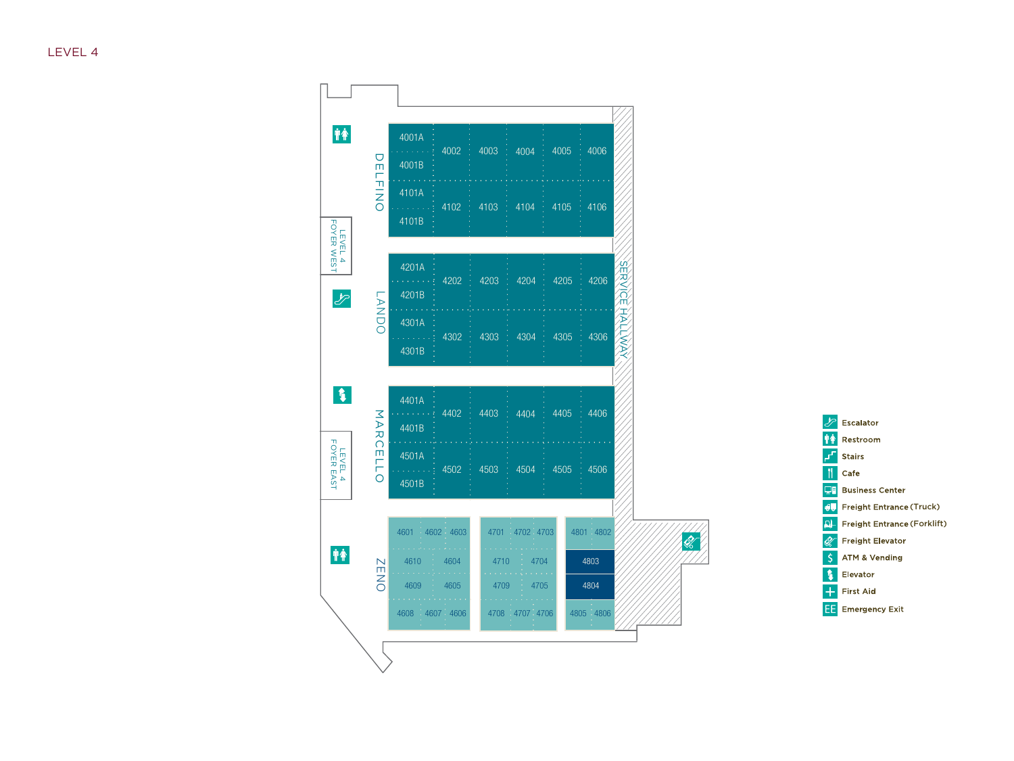

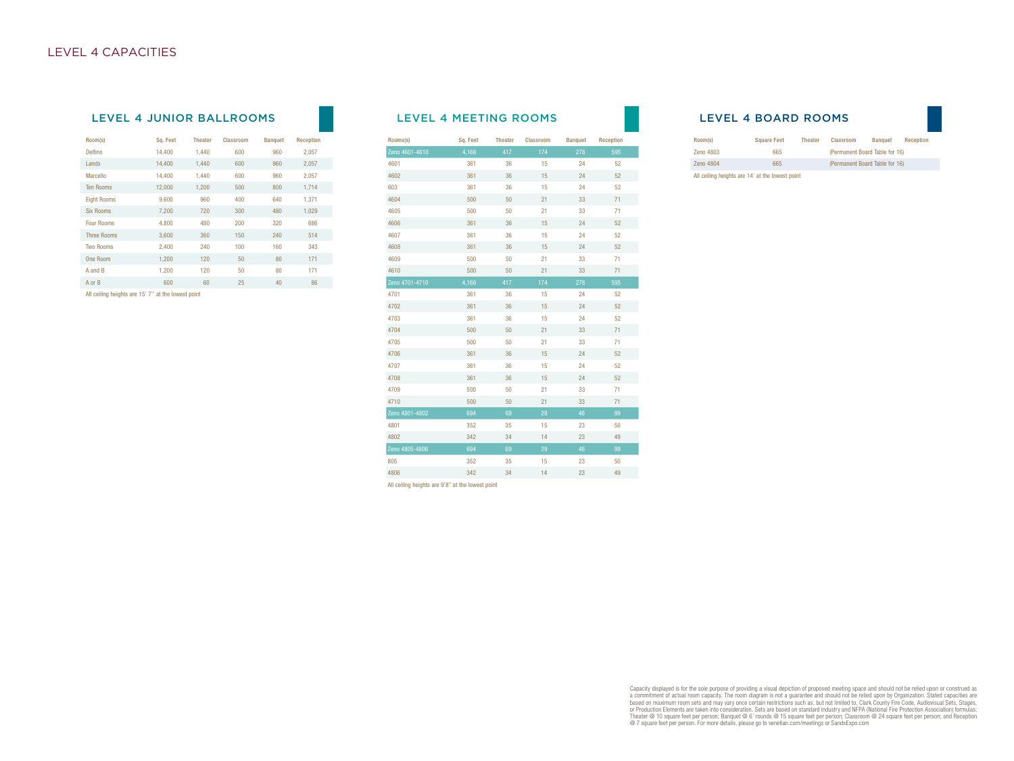## LEVEL 4 JUNIOR BALLROOMS LEVEL 4 MEETING ROOMS

| Room(s)            | Sq. Feet | <b>Theater</b> | <b>Classroom</b> | <b>Banquet</b> | <b>Reception</b> |
|--------------------|----------|----------------|------------------|----------------|------------------|
| Delfino            | 14,400   | 1,440          | 600              | 960            | 2,057            |
| Lando              | 14,400   | 1,440          | 600              | 960            | 2,057            |
| Marcello           | 14,400   | 1.440          | 600              | 960            | 2,057            |
| <b>Ten Rooms</b>   | 12,000   | 1.200          | 500              | 800            | 1,714            |
| <b>Eight Rooms</b> | 9,600    | 960            | 400              | 640            | 1,371            |
| <b>Six Rooms</b>   | 7,200    | 720            | 300              | 480            | 1,029            |
| <b>Four Rooms</b>  | 4.800    | 480            | 200              | 320            | 686              |
| <b>Three Rooms</b> | 3.600    | 360            | 150              | 240            | 514              |
| <b>Two Rooms</b>   | 2,400    | 240            | 100              | 160            | 343              |
| One Room           | 1.200    | 120            | 50               | 80             | 171              |
| A and B            | 1.200    | 120            | 50               | 80             | 171              |
| A or B             | 600      | 60             | 25               | 40             | 86               |

All ceiling heights are 15' 7'' at the lowest point

| Rooms(s)       | Sq. Feet | <b>Theater</b> | Classroom | <b>Banquet</b> | Reception |
|----------------|----------|----------------|-----------|----------------|-----------|
| Zeno 4601-4610 | 4,166    | 417            | 174       | 278            | 595       |
| 4601           | 361      | 36             | 15        | 24             | 52        |
| 4602           | 361      | 36             | 15        | 24             | 52        |
| 603            | 361      | 36             | 15        | 24             | 52        |
| 4604           | 500      | 50             | 21        | 33             | 71        |
| 4605           | 500      | 50             | 21        | 33             | 71        |
| 4606           | 361      | 36             | 15        | 24             | 52        |
| 4607           | 361      | 36             | 15        | 24             | 52        |
| 4608           | 361      | 36             | 15        | 24             | 52        |
| 4609           | 500      | 50             | 21        | 33             | 71        |
| 4610           | 500      | 50             | 21        | 33             | 71        |
| Zeno 4701-4710 | 4,166    | 417            | 174       | 278            | 595       |
| 4701           | 361      | 36             | 15        | 24             | 52        |
| 4702           | 361      | 36             | 15        | 24             | 52        |
| 4703           | 361      | 36             | 15        | 24             | 52        |
| 4704           | 500      | 50             | 21        | 33             | 71        |
| 4705           | 500      | 50             | 21        | 33             | 71        |
| 4706           | 361      | 36             | 15        | 24             | 52        |
| 4707           | 361      | 36             | 15        | 24             | 52        |
| 4708           | 361      | 36             | 15        | 24             | 52        |
| 4709           | 500      | 50             | 21        | 33             | 71        |
| 4710           | 500      | 50             | 21        | 33             | 71        |
| Zeno 4801-4802 | 694      | 69             | 29        | 46             | 99        |
| 4801           | 352      | 35             | 15        | 23             | 50        |
| 4802           | 342      | 34             | 14        | 23             | 49        |
| Zeno 4805-4806 | 694      | 69             | 29        | 46             | 99        |
| 805            | 352      | 35             | 15        | 23             | 50        |
| 4806           | 342      | 34             | 14        | 23             | 49        |

All ceiling heights are 9'8" at the lowest point

## LEVEL 4 BOARD ROOMS

| Room(s)   | <b>Square Feet</b>                              | <b>Theater</b> | <b>Classroom</b>               | <b>Banquet</b> | Reception |  |
|-----------|-------------------------------------------------|----------------|--------------------------------|----------------|-----------|--|
| Zeno 4803 | 665                                             |                | (Permanent Board Table for 16) |                |           |  |
| Zeno 4804 | 665                                             |                | (Permanent Board Table for 16) |                |           |  |
|           | All ceiling heights are 14' at the lowest point |                |                                |                |           |  |

Capacity displayed is for the sole purpose of providing a visual depiction of proposed meeting space and should not be relied upon or construed as<br>a committment of actual room capacity. The room diagram is not a guarantee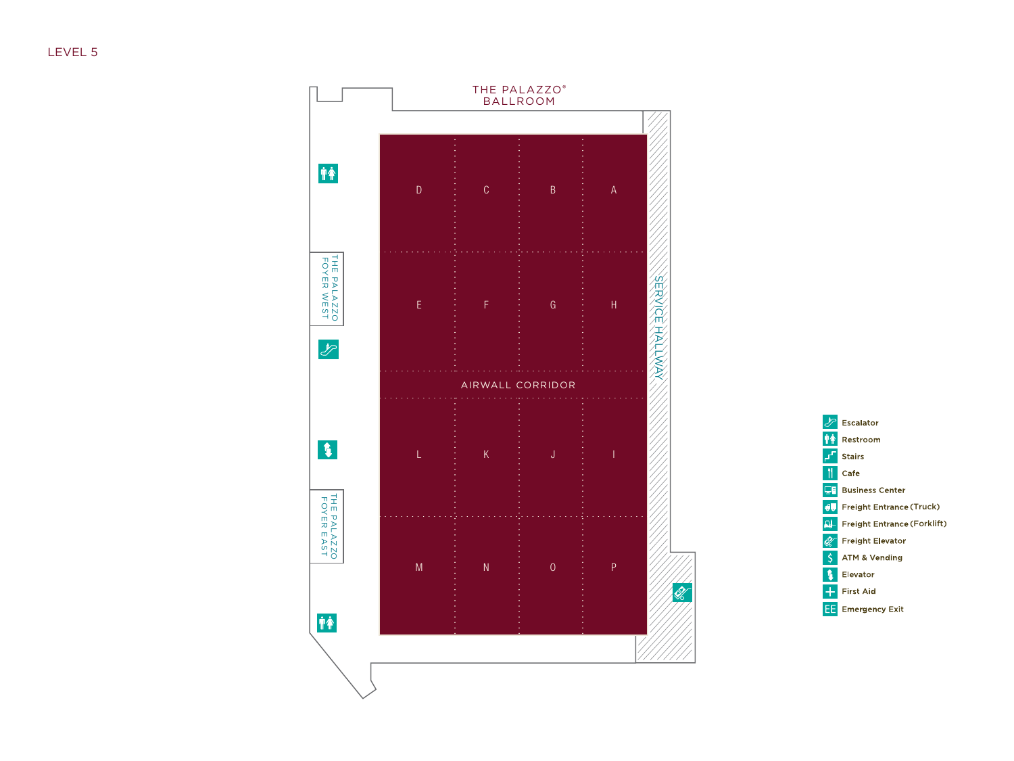LEVEL 5